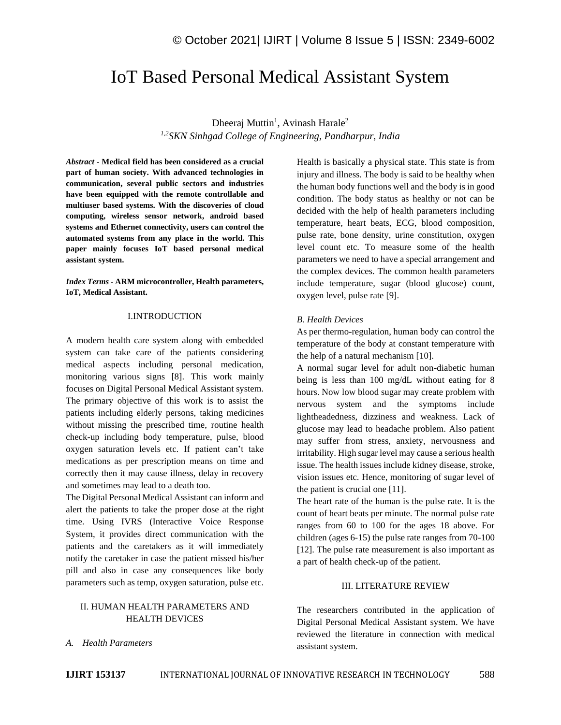# IoT Based Personal Medical Assistant System

Dheeraj Muttin<sup>1</sup>, Avinash Harale<sup>2</sup> *1,2SKN Sinhgad College of Engineering, Pandharpur, India* 

*Abstract -* **Medical field has been considered as a crucial part of human society. With advanced technologies in communication, several public sectors and industries have been equipped with the remote controllable and multiuser based systems. With the discoveries of cloud computing, wireless sensor network, android based systems and Ethernet connectivity, users can control the automated systems from any place in the world. This paper mainly focuses IoT based personal medical assistant system.**

*Index Terms -* **ARM microcontroller, Health parameters, IoT, Medical Assistant.**

#### I.INTRODUCTION

A modern health care system along with embedded system can take care of the patients considering medical aspects including personal medication, monitoring various signs [8]. This work mainly focuses on Digital Personal Medical Assistant system. The primary objective of this work is to assist the patients including elderly persons, taking medicines without missing the prescribed time, routine health check-up including body temperature, pulse, blood oxygen saturation levels etc. If patient can't take medications as per prescription means on time and correctly then it may cause illness, delay in recovery and sometimes may lead to a death too.

The Digital Personal Medical Assistant can inform and alert the patients to take the proper dose at the right time. Using IVRS (Interactive Voice Response System, it provides direct communication with the patients and the caretakers as it will immediately notify the caretaker in case the patient missed his/her pill and also in case any consequences like body parameters such as temp, oxygen saturation, pulse etc.

# II. HUMAN HEALTH PARAMETERS AND HEALTH DEVICES

*A. Health Parameters*

Health is basically a physical state. This state is from injury and illness. The body is said to be healthy when the human body functions well and the body is in good condition. The body status as healthy or not can be decided with the help of health parameters including temperature, heart beats, ECG, blood composition, pulse rate, bone density, urine constitution, oxygen level count etc. To measure some of the health parameters we need to have a special arrangement and the complex devices. The common health parameters include temperature, sugar (blood glucose) count, oxygen level, pulse rate [9].

# *B. Health Devices*

As per thermo-regulation, human body can control the temperature of the body at constant temperature with the help of a natural mechanism [10].

A normal sugar level for adult non-diabetic human being is less than 100 mg/dL without eating for 8 hours. Now low blood sugar may create problem with nervous system and the symptoms include lightheadedness, dizziness and weakness. Lack of glucose may lead to headache problem. Also patient may suffer from stress, anxiety, nervousness and irritability. High sugar level may cause a serious health issue. The health issues include kidney disease, stroke, vision issues etc. Hence, monitoring of sugar level of the patient is crucial one [11].

The heart rate of the human is the pulse rate. It is the count of heart beats per minute. The normal pulse rate ranges from 60 to 100 for the ages 18 above. For children (ages 6-15) the pulse rate ranges from 70-100 [12]. The pulse rate measurement is also important as a part of health check-up of the patient.

## III. LITERATURE REVIEW

The researchers contributed in the application of Digital Personal Medical Assistant system. We have reviewed the literature in connection with medical assistant system.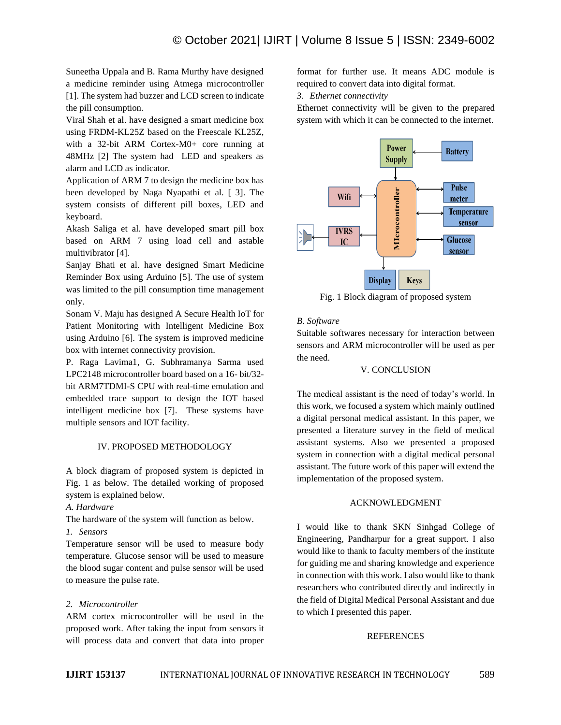Suneetha Uppala and B. Rama Murthy have designed a medicine reminder using Atmega microcontroller [1]. The system had buzzer and LCD screen to indicate the pill consumption.

Viral Shah et al. have designed a smart medicine box using FRDM-KL25Z based on the Freescale KL25Z, with a 32-bit ARM Cortex-M0+ core running at 48MHz [2] The system had LED and speakers as alarm and LCD as indicator.

Application of ARM 7 to design the medicine box has been developed by Naga Nyapathi et al. [ 3]. The system consists of different pill boxes, LED and keyboard.

Akash Saliga et al. have developed smart pill box based on ARM 7 using load cell and astable multivibrator [4].

Sanjay Bhati et al. have designed Smart Medicine Reminder Box using Arduino [5]. The use of system was limited to the pill consumption time management only.

Sonam V. Maju has designed A Secure Health IoT for Patient Monitoring with Intelligent Medicine Box using Arduino [6]. The system is improved medicine box with internet connectivity provision.

P. Raga Lavima1, G. Subhramanya Sarma used LPC2148 microcontroller board based on a 16- bit/32 bit ARM7TDMI-S CPU with real-time emulation and embedded trace support to design the IOT based intelligent medicine box [7]. These systems have multiple sensors and IOT facility.

## IV. PROPOSED METHODOLOGY

A block diagram of proposed system is depicted in Fig. 1 as below. The detailed working of proposed system is explained below.

*A. Hardware*

The hardware of the system will function as below.

### *1. Sensors*

Temperature sensor will be used to measure body temperature. Glucose sensor will be used to measure the blood sugar content and pulse sensor will be used to measure the pulse rate.

# *2. Microcontroller*

ARM cortex microcontroller will be used in the proposed work. After taking the input from sensors it will process data and convert that data into proper format for further use. It means ADC module is required to convert data into digital format.

*3. Ethernet connectivity*

Ethernet connectivity will be given to the prepared system with which it can be connected to the internet.



Fig. 1 Block diagram of proposed system

### *B. Software*

Suitable softwares necessary for interaction between sensors and ARM microcontroller will be used as per the need.

# V. CONCLUSION

The medical assistant is the need of today's world. In this work, we focused a system which mainly outlined a digital personal medical assistant. In this paper, we presented a literature survey in the field of medical assistant systems. Also we presented a proposed system in connection with a digital medical personal assistant. The future work of this paper will extend the implementation of the proposed system.

## ACKNOWLEDGMENT

I would like to thank SKN Sinhgad College of Engineering, Pandharpur for a great support. I also would like to thank to faculty members of the institute for guiding me and sharing knowledge and experience in connection with this work. I also would like to thank researchers who contributed directly and indirectly in the field of Digital Medical Personal Assistant and due to which I presented this paper.

## REFERENCES